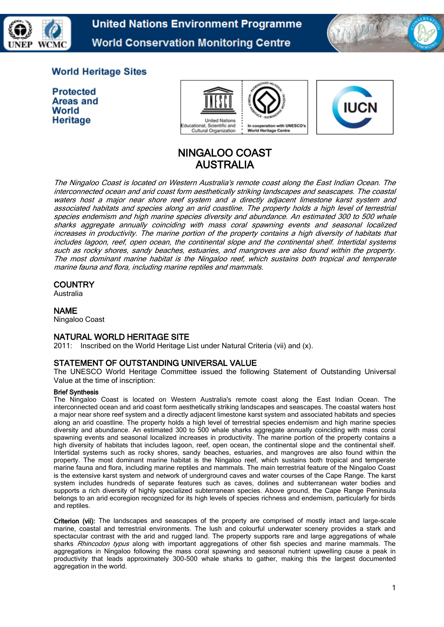

**United Nations Environment Programme World Conservation Monitoring Centre** 



# **World Heritage Sites**

**Protected** Areas and World Heritage





# NINGALOO COAST AUSTRALIA

The Ningaloo Coast is located on Western Australia's remote coast along the East Indian Ocean. The interconnected ocean and arid coast form aesthetically striking landscapes and seascapes. The coastal waters host a major near shore reef system and a directly adjacent limestone karst system and associated habitats and species along an arid coastline. The property holds a high level of terrestrial species endemism and high marine species diversity and abundance. An estimated 300 to 500 whale sharks aggregate annually coinciding with mass coral spawning events and seasonal localized increases in productivity. The marine portion of the property contains a high diversity of habitats that includes lagoon, reef, open ocean, the continental slope and the continental shelf. Intertidal systems such as rocky shores, sandy beaches, estuaries, and mangroves are also found within the property. The most dominant marine habitat is the Ningaloo reef, which sustains both tropical and temperate marine fauna and flora, including marine reptiles and mammals.

# **COUNTRY**

Australia

# NAME

Ningaloo Coast

# NATURAL WORLD HERITAGE SITE

2011: Inscribed on the World Heritage List under Natural Criteria (vii) and (x).

# STATEMENT OF OUTSTANDING UNIVERSAL VALUE

The UNESCO World Heritage Committee issued the following Statement of Outstanding Universal Value at the time of inscription:

#### Brief Synthesis

The Ningaloo Coast is located on Western Australia's remote coast along the East Indian Ocean. The interconnected ocean and arid coast form aesthetically striking landscapes and seascapes. The coastal waters host a major near shore reef system and a directly adjacent limestone karst system and associated habitats and species along an arid coastline. The property holds a high level of terrestrial species endemism and high marine species diversity and abundance. An estimated 300 to 500 whale sharks aggregate annually coinciding with mass coral spawning events and seasonal localized increases in productivity. The marine portion of the property contains a high diversity of habitats that includes lagoon, reef, open ocean, the continental slope and the continental shelf. Intertidal systems such as rocky shores, sandy beaches, estuaries, and mangroves are also found within the property. The most dominant marine habitat is the Ningaloo reef, which sustains both tropical and temperate marine fauna and flora, including marine reptiles and mammals. The main terrestrial feature of the Ningaloo Coast is the extensive karst system and network of underground caves and water courses of the Cape Range. The karst system includes hundreds of separate features such as caves, dolines and subterranean water bodies and supports a rich diversity of highly specialized subterranean species. Above ground, the Cape Range Peninsula belongs to an arid ecoregion recognized for its high levels of species richness and endemism, particularly for birds and reptiles.

Criterion (vii): The landscapes and seascapes of the property are comprised of mostly intact and large-scale marine, coastal and terrestrial environments. The lush and colourful underwater scenery provides a stark and spectacular contrast with the arid and rugged land. The property supports rare and large aggregations of whale sharks Rhincodon typus along with important aggregations of other fish species and marine mammals. The aggregations in Ningaloo following the mass coral spawning and seasonal nutrient upwelling cause a peak in productivity that leads approximately 300-500 whale sharks to gather, making this the largest documented aggregation in the world.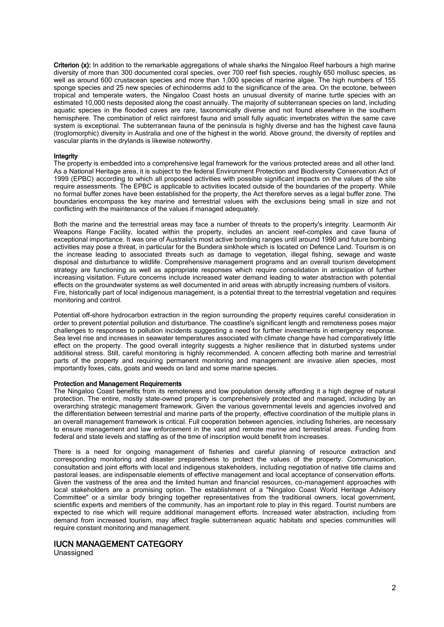Criterion (x): In addition to the remarkable aggregations of whale sharks the Ningaloo Reef harbours a high marine diversity of more than 300 documented coral species, over 700 reef fish species, roughly 650 mollusc species, as well as around 600 crustacean species and more than 1,000 species of marine algae. The high numbers of 155 sponge species and 25 new species of echinoderms add to the significance of the area. On the ecotone, between tropical and temperate waters, the Ningaloo Coast hosts an unusual diversity of marine turtle species with an estimated 10,000 nests deposited along the coast annually. The majority of subterranean species on land, including aquatic species in the flooded caves are rare, taxonomically diverse and not found elsewhere in the southern hemisphere. The combination of relict rainforest fauna and small fully aquatic invertebrates within the same cave system is exceptional. The subterranean fauna of the peninsula is highly diverse and has the highest cave fauna (troglomorphic) diversity in Australia and one of the highest in the world. Above ground, the diversity of reptiles and vascular plants in the drylands is likewise noteworthy.

#### Integrity

The property is embedded into a comprehensive legal framework for the various protected areas and all other land. As a National Heritage area, it is subject to the federal Environment Protection and Biodiversity Conservation Act of 1999 (EPBC) according to which all proposed activities with possible significant impacts on the values of the site require assessments. The EPBC is applicable to activities located outside of the boundaries of the property. While no formal buffer zones have been established for the property, the Act therefore serves as a legal buffer zone. The boundaries encompass the key marine and terrestrial values with the exclusions being small in size and not conflicting with the maintenance of the values if managed adequately.

Both the marine and the terrestrial areas may face a number of threats to the property's integrity. Learmonth Air Weapons Range Facility, located within the property, includes an ancient reef-complex and cave fauna of exceptional importance. It was one of Australia's most active bombing ranges until around 1990 and future bombing activities may pose a threat, in particular for the Bundera sinkhole which is located on Defence Land. Tourism is on the increase leading to associated threats such as damage to vegetation, illegal fishing, sewage and waste disposal and disturbance to wildlife. Comprehensive management programs and an overall tourism development strategy are functioning as well as appropriate responses which require consolidation in anticipation of further increasing visitation. Future concerns include increased water demand leading to water abstraction with potential effects on the groundwater systems as well documented in arid areas with abruptly increasing numbers of visitors. Fire, historically part of local indigenous management, is a potential threat to the terrestrial vegetation and requires monitoring and control.

Potential off-shore hydrocarbon extraction in the region surrounding the property requires careful consideration in order to prevent potential pollution and disturbance. The coastline's significant length and remoteness poses major challenges to responses to pollution incidents suggesting a need for further investments in emergency response. Sea level rise and increases in seawater temperatures associated with climate change have had comparatively little effect on the property. The good overall integrity suggests a higher resilience that in disturbed systems under additional stress. Still, careful monitoring is highly recommended. A concern affecting both marine and terrestrial parts of the property and requiring permanent monitoring and management are invasive alien species, most importantly foxes, cats, goats and weeds on land and some marine species.

#### Protection and Management Requirements

The Ningaloo Coast benefits from its remoteness and low population density affording it a high degree of natural protection. The entire, mostly state-owned property is comprehensively protected and managed, including by an overarching strategic management framework. Given the various governmental levels and agencies involved and the differentiation between terrestrial and marine parts of the property, effective coordination of the multiple plans in an overall management framework is critical. Full cooperation between agencies, including fisheries, are necessary to ensure management and law enforcement in the vast and remote marine and terrestrial areas. Funding from federal and state levels and staffing as of the time of inscription would benefit from increases.

There is a need for ongoing management of fisheries and careful planning of resource extraction and corresponding monitoring and disaster preparedness to protect the values of the property. Communication, consultation and joint efforts with local and indigenous stakeholders, including negotiation of native title claims and pastoral leases, are indispensable elements of effective management and local acceptance of conservation efforts. Given the vastness of the area and the limited human and financial resources, co-management approaches with local stakeholders are a promising option. The establishment of a "Ningaloo Coast World Heritage Advisory Committee" or a similar body bringing together representatives from the traditional owners, local government, scientific experts and members of the community, has an important role to play in this regard. Tourist numbers are expected to rise which will require additional management efforts. Increased water abstraction, including from demand from increased tourism, may affect fragile subterranean aquatic habitats and species communities will require constant monitoring and management.

## IUCN MANAGEMENT CATEGORY

Unassigned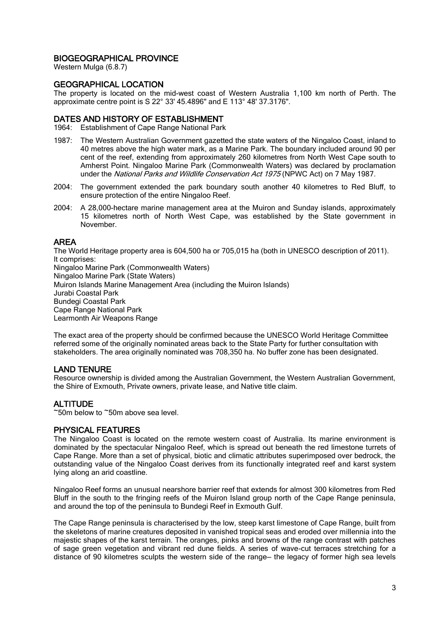# BIOGEOGRAPHICAL PROVINCE

Western Mulga (6.8.7)

## GEOGRAPHICAL LOCATION

The property is located on the mid-west coast of Western Australia 1,100 km north of Perth. The approximate centre point is S 22° 33' 45.4896" and E 113° 48' 37.3176".

#### DATES AND HISTORY OF ESTABLISHMENT

1964: Establishment of Cape Range National Park

- 1987: The Western Australian Government gazetted the state waters of the Ningaloo Coast, inland to 40 metres above the high water mark, as a Marine Park. The boundary included around 90 per cent of the reef, extending from approximately 260 kilometres from North West Cape south to Amherst Point. Ningaloo Marine Park (Commonwealth Waters) was declared by proclamation under the National Parks and Wildlife Conservation Act 1975 (NPWC Act) on 7 May 1987.
- 2004: The government extended the park boundary south another 40 kilometres to Red Bluff, to ensure protection of the entire Ningaloo Reef.
- 2004: A 28,000-hectare marine management area at the Muiron and Sunday islands, approximately 15 kilometres north of North West Cape, was established by the State government in November.

# AREA

The World Heritage property area is 604,500 ha or 705,015 ha (both in UNESCO description of 2011). It comprises: Ningaloo Marine Park (Commonwealth Waters) Ningaloo Marine Park (State Waters) Muiron Islands Marine Management Area (including the Muiron Islands) Jurabi Coastal Park Bundegi Coastal Park Cape Range National Park Learmonth Air Weapons Range

The exact area of the property should be confirmed because the UNESCO World Heritage Committee referred some of the originally nominated areas back to the State Party for further consultation with stakeholders. The area originally nominated was 708,350 ha. No buffer zone has been designated.

# LAND TENURE

Resource ownership is divided among the Australian Government, the Western Australian Government, the Shire of Exmouth, Private owners, private lease, and Native title claim.

# **ALTITUDE**

 $\tilde{\phantom{1}}$ 50m below to  $\tilde{\phantom{1}}$ 50m above sea level.

#### PHYSICAL FEATURES

The Ningaloo Coast is located on the remote western coast of Australia. Its marine environment is dominated by the spectacular Ningaloo Reef, which is spread out beneath the red limestone turrets of Cape Range. More than a set of physical, biotic and climatic attributes superimposed over bedrock, the outstanding value of the Ningaloo Coast derives from its functionally integrated reef and karst system lying along an arid coastline.

Ningaloo Reef forms an unusual nearshore barrier reef that extends for almost 300 kilometres from Red Bluff in the south to the fringing reefs of the Muiron Island group north of the Cape Range peninsula, and around the top of the peninsula to Bundegi Reef in Exmouth Gulf.

The Cape Range peninsula is characterised by the low, steep karst limestone of Cape Range, built from the skeletons of marine creatures deposited in vanished tropical seas and eroded over millennia into the majestic shapes of the karst terrain. The oranges, pinks and browns of the range contrast with patches of sage green vegetation and vibrant red dune fields. A series of wave-cut terraces stretching for a distance of 90 kilometres sculpts the western side of the range— the legacy of former high sea levels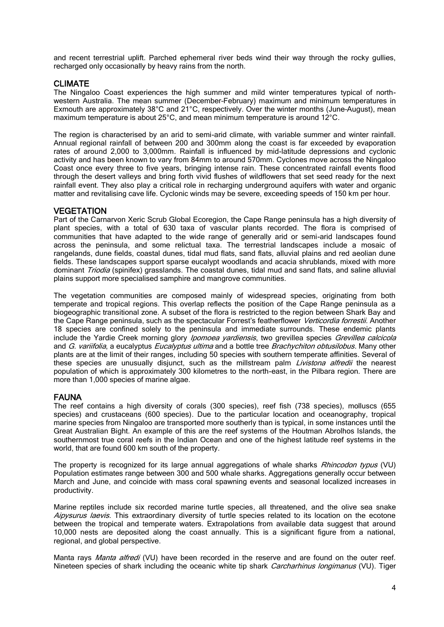and recent terrestrial uplift. Parched ephemeral river beds wind their way through the rocky gullies, recharged only occasionally by heavy rains from the north.

## CLIMATE

The Ningaloo Coast experiences the high summer and mild winter temperatures typical of northwestern Australia. The mean summer (December–February) maximum and minimum temperatures in Exmouth are approximately 38°C and 21°C, respectively. Over the winter months (June–August), mean maximum temperature is about 25°C, and mean minimum temperature is around 12°C.

The region is characterised by an arid to semi-arid climate, with variable summer and winter rainfall. Annual regional rainfall of between 200 and 300mm along the coast is far exceeded by evaporation rates of around 2,000 to 3,000mm. Rainfall is influenced by mid-latitude depressions and cyclonic activity and has been known to vary from 84mm to around 570mm. Cyclones move across the Ningaloo Coast once every three to five years, bringing intense rain. These concentrated rainfall events flood through the desert valleys and bring forth vivid flushes of wildflowers that set seed ready for the next rainfall event. They also play a critical role in recharging underground aquifers with water and organic matter and revitalising cave life. Cyclonic winds may be severe, exceeding speeds of 150 km per hour.

#### **VEGETATION**

Part of the Carnarvon Xeric Scrub Global Ecoregion, the Cape Range peninsula has a high diversity of plant species, with a total of 630 taxa of vascular plants recorded. The flora is comprised of communities that have adapted to the wide range of generally arid or semi-arid landscapes found across the peninsula, and some relictual taxa. The terrestrial landscapes include a mosaic of rangelands, dune fields, coastal dunes, tidal mud flats, sand flats, alluvial plains and red aeolian dune fields. These landscapes support sparse eucalypt woodlands and acacia shrublands, mixed with more dominant *Triodia* (spinifex) grasslands. The coastal dunes, tidal mud and sand flats, and saline alluvial plains support more specialised samphire and mangrove communities.

The vegetation communities are composed mainly of widespread species, originating from both temperate and tropical regions. This overlap reflects the position of the Cape Range peninsula as a biogeographic transitional zone. A subset of the flora is restricted to the region between Shark Bay and the Cape Range peninsula, such as the spectacular Forrest's featherflower Verticordia forrestii. Another 18 species are confined solely to the peninsula and immediate surrounds. These endemic plants include the Yardie Creek morning glory *Ipomoea yardiensis*, two grevillea species *Grevillea calcicola* and G. variifolia, a eucalyptus Eucalyptus ultima and a bottle tree Brachychiton obtusilobus. Many other plants are at the limit of their ranges, including 50 species with southern temperate affinities. Several of these species are unusually disjunct, such as the millstream palm *Livistona alfredii* the nearest population of which is approximately 300 kilometres to the north-east, in the Pilbara region. There are more than 1,000 species of marine algae.

#### FAUNA

The reef contains a high diversity of corals (300 species), reef fish (738 species), molluscs (655 species) and crustaceans (600 species). Due to the particular location and oceanography, tropical marine species from Ningaloo are transported more southerly than is typical, in some instances until the Great Australian Bight. An example of this are the reef systems of the Houtman Abrolhos Islands, the southernmost true coral reefs in the Indian Ocean and one of the highest latitude reef systems in the world, that are found 600 km south of the property.

The property is recognized for its large annual aggregations of whale sharks Rhincodon typus (VU) Population estimates range between 300 and 500 whale sharks. Aggregations generally occur between March and June, and coincide with mass coral spawning events and seasonal localized increases in productivity.

Marine reptiles include six recorded marine turtle species, all threatened, and the olive sea snake Aipysurus laevis. This extraordinary diversity of turtle species related to its location on the ecotone between the tropical and temperate waters. Extrapolations from available data suggest that around 10,000 nests are deposited along the coast annually. This is a significant figure from a national, regional, and global perspective.

Manta rays Manta alfredi (VU) have been recorded in the reserve and are found on the outer reef. Nineteen species of shark including the oceanic white tip shark *Carcharhinus longimanus* (VU). Tiger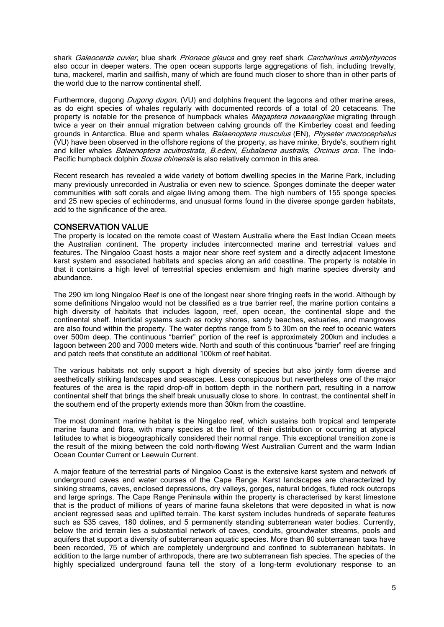shark Galeocerda cuvier, blue shark Prionace glauca and grey reef shark Carcharinus amblyrhyncos also occur in deeper waters. The open ocean supports large aggregations of fish, including trevally, tuna, mackerel, marlin and sailfish, many of which are found much closer to shore than in other parts of the world due to the narrow continental shelf.

Furthermore, dugong *Dugong dugon*, (VU) and dolphins frequent the lagoons and other marine areas, as do eight species of whales regularly with documented records of a total of 20 cetaceans. The property is notable for the presence of humpback whales *Megaptera novaeangliae* migrating through twice a year on their annual migration between calving grounds off the Kimberley coast and feeding grounds in Antarctica. Blue and sperm whales *Balaenoptera musculus* (EN), *Physeter macrocephalus* (VU) have been observed in the offshore regions of the property, as have minke, Bryde's, southern right and killer whales *Balaenoptera acuitrostrata, B.edeni, Eubalaena australis, Orcinus orca.* The Indo-Pacific humpback dolphin Sousa chinensis is also relatively common in this area.

Recent research has revealed a wide variety of bottom dwelling species in the Marine Park, including many previously unrecorded in Australia or even new to science. Sponges dominate the deeper water communities with soft corals and algae living among them. The high numbers of 155 sponge species and 25 new species of echinoderms, and unusual forms found in the diverse sponge garden habitats, add to the significance of the area.

## CONSERVATION VALUE

The property is located on the remote coast of Western Australia where the East Indian Ocean meets the Australian continent. The property includes interconnected marine and terrestrial values and features. The Ningaloo Coast hosts a major near shore reef system and a directly adjacent limestone karst system and associated habitats and species along an arid coastline. The property is notable in that it contains a high level of terrestrial species endemism and high marine species diversity and abundance.

The 290 km long Ningaloo Reef is one of the longest near shore fringing reefs in the world. Although by some definitions Ningaloo would not be classified as a true barrier reef, the marine portion contains a high diversity of habitats that includes lagoon, reef, open ocean, the continental slope and the continental shelf. Intertidal systems such as rocky shores, sandy beaches, estuaries, and mangroves are also found within the property. The water depths range from 5 to 30m on the reef to oceanic waters over 500m deep. The continuous "barrier" portion of the reef is approximately 200km and includes a lagoon between 200 and 7000 meters wide. North and south of this continuous "barrier" reef are fringing and patch reefs that constitute an additional 100km of reef habitat.

The various habitats not only support a high diversity of species but also jointly form diverse and aesthetically striking landscapes and seascapes. Less conspicuous but nevertheless one of the major features of the area is the rapid drop-off in bottom depth in the northern part, resulting in a narrow continental shelf that brings the shelf break unusually close to shore. In contrast, the continental shelf in the southern end of the property extends more than 30km from the coastline.

The most dominant marine habitat is the Ningaloo reef, which sustains both tropical and temperate marine fauna and flora, with many species at the limit of their distribution or occurring at atypical latitudes to what is biogeographically considered their normal range. This exceptional transition zone is the result of the mixing between the cold north-flowing West Australian Current and the warm Indian Ocean Counter Current or Leewuin Current.

A major feature of the terrestrial parts of Ningaloo Coast is the extensive karst system and network of underground caves and water courses of the Cape Range. Karst landscapes are characterized by sinking streams, caves, enclosed depressions, dry valleys, gorges, natural bridges, fluted rock outcrops and large springs. The Cape Range Peninsula within the property is characterised by karst limestone that is the product of millions of years of marine fauna skeletons that were deposited in what is now ancient regressed seas and uplifted terrain. The karst system includes hundreds of separate features such as 535 caves, 180 dolines, and 5 permanently standing subterranean water bodies. Currently, below the arid terrain lies a substantial network of caves, conduits, groundwater streams, pools and aquifers that support a diversity of subterranean aquatic species. More than 80 subterranean taxa have been recorded, 75 of which are completely underground and confined to subterranean habitats. In addition to the large number of arthropods, there are two subterranean fish species. The species of the highly specialized underground fauna tell the story of a long-term evolutionary response to an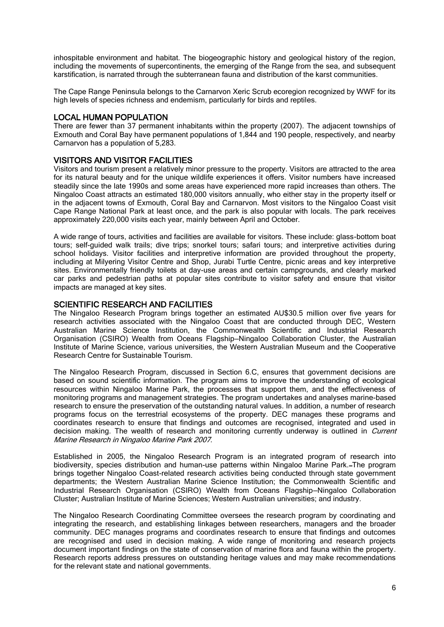inhospitable environment and habitat. The biogeographic history and geological history of the region, including the movements of supercontinents, the emerging of the Range from the sea, and subsequent karstification, is narrated through the subterranean fauna and distribution of the karst communities.

The Cape Range Peninsula belongs to the Carnarvon Xeric Scrub ecoregion recognized by WWF for its high levels of species richness and endemism, particularly for birds and reptiles.

## LOCAL HUMAN POPULATION

There are fewer than 37 permanent inhabitants within the property (2007). The adjacent townships of Exmouth and Coral Bay have permanent populations of 1,844 and 190 people, respectively, and nearby Carnarvon has a population of 5,283.

### VISITORS AND VISITOR FACILITIES

Visitors and tourism present a relatively minor pressure to the property. Visitors are attracted to the area for its natural beauty and for the unique wildlife experiences it offers. Visitor numbers have increased steadily since the late 1990s and some areas have experienced more rapid increases than others. The Ningaloo Coast attracts an estimated 180,000 visitors annually, who either stay in the property itself or in the adjacent towns of Exmouth, Coral Bay and Carnarvon. Most visitors to the Ningaloo Coast visit Cape Range National Park at least once, and the park is also popular with locals. The park receives approximately 220,000 visits each year, mainly between April and October.

A wide range of tours, activities and facilities are available for visitors. These include: glass-bottom boat tours; self-guided walk trails; dive trips; snorkel tours; safari tours; and interpretive activities during school holidays. Visitor facilities and interpretive information are provided throughout the property, including at Milyering Visitor Centre and Shop, Jurabi Turtle Centre, picnic areas and key interpretive sites. Environmentally friendly toilets at day-use areas and certain campgrounds, and clearly marked car parks and pedestrian paths at popular sites contribute to visitor safety and ensure that visitor impacts are managed at key sites.

#### SCIENTIFIC RESEARCH AND FACILITIES

The Ningaloo Research Program brings together an estimated AU\$30.5 million over five years for research activities associated with the Ningaloo Coast that are conducted through DEC, Western Australian Marine Science Institution, the Commonwealth Scientific and Industrial Research Organisation (CSIRO) Wealth from Oceans Flagship—Ningaloo Collaboration Cluster, the Australian Institute of Marine Science, various universities, the Western Australian Museum and the Cooperative Research Centre for Sustainable Tourism.

The Ningaloo Research Program, discussed in Section 6.C, ensures that government decisions are based on sound scientific information. The program aims to improve the understanding of ecological resources within Ningaloo Marine Park, the processes that support them, and the effectiveness of monitoring programs and management strategies. The program undertakes and analyses marine-based research to ensure the preservation of the outstanding natural values. In addition, a number of research programs focus on the terrestrial ecosystems of the property. DEC manages these programs and coordinates research to ensure that findings and outcomes are recognised, integrated and used in decision making. The wealth of research and monitoring currently underway is outlined in *Current* Marine Research in Ningaloo Marine Park 2007.

Established in 2005, the Ningaloo Research Program is an integrated program of research into biodiversity, species distribution and human-use patterns within Ningaloo Marine Park. The program brings together Ningaloo Coast-related research activities being conducted through state government departments; the Western Australian Marine Science Institution; the Commonwealth Scientific and Industrial Research Organisation (CSIRO) Wealth from Oceans Flagship—Ningaloo Collaboration Cluster; Australian Institute of Marine Sciences; Western Australian universities; and industry.

The Ningaloo Research Coordinating Committee oversees the research program by coordinating and integrating the research, and establishing linkages between researchers, managers and the broader community. DEC manages programs and coordinates research to ensure that findings and outcomes are recognised and used in decision making. A wide range of monitoring and research projects document important findings on the state of conservation of marine flora and fauna within the property. Research reports address pressures on outstanding heritage values and may make recommendations for the relevant state and national governments.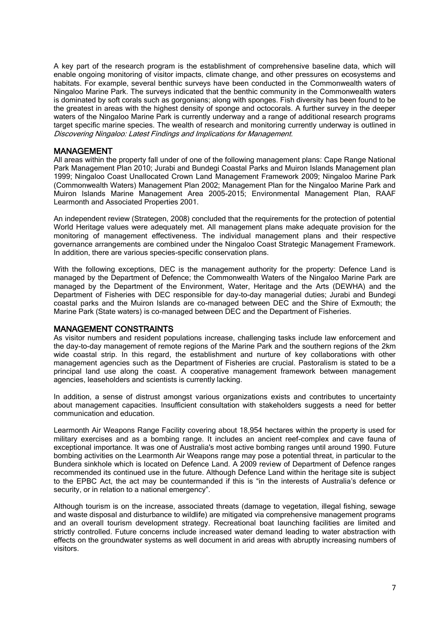A key part of the research program is the establishment of comprehensive baseline data, which will enable ongoing monitoring of visitor impacts, climate change, and other pressures on ecosystems and habitats. For example, several benthic surveys have been conducted in the Commonwealth waters of Ningaloo Marine Park. The surveys indicated that the benthic community in the Commonwealth waters is dominated by soft corals such as gorgonians; along with sponges. Fish diversity has been found to be the greatest in areas with the highest density of sponge and octocorals. A further survey in the deeper waters of the Ningaloo Marine Park is currently underway and a range of additional research programs target specific marine species. The wealth of research and monitoring currently underway is outlined in Discovering Ningaloo: Latest Findings and Implications for Management.

#### MANAGEMENT

All areas within the property fall under of one of the following management plans: Cape Range National Park Management Plan 2010; Jurabi and Bundegi Coastal Parks and Muiron Islands Management plan 1999; Ningaloo Coast Unallocated Crown Land Management Framework 2009; Ningaloo Marine Park (Commonwealth Waters) Management Plan 2002; Management Plan for the Ningaloo Marine Park and Muiron Islands Marine Management Area 2005-2015; Environmental Management Plan, RAAF Learmonth and Associated Properties 2001.

An independent review (Strategen, 2008) concluded that the requirements for the protection of potential World Heritage values were adequately met. All management plans make adequate provision for the monitoring of management effectiveness. The individual management plans and their respective governance arrangements are combined under the Ningaloo Coast Strategic Management Framework. In addition, there are various species-specific conservation plans.

With the following exceptions, DEC is the management authority for the property: Defence Land is managed by the Department of Defence; the Commonwealth Waters of the Ningaloo Marine Park are managed by the Department of the Environment, Water, Heritage and the Arts (DEWHA) and the Department of Fisheries with DEC responsible for day-to-day managerial duties; Jurabi and Bundegi coastal parks and the Muiron Islands are co-managed between DEC and the Shire of Exmouth; the Marine Park (State waters) is co-managed between DEC and the Department of Fisheries.

#### MANAGEMENT CONSTRAINTS

As visitor numbers and resident populations increase, challenging tasks include law enforcement and the day-to-day management of remote regions of the Marine Park and the southern regions of the 2km wide coastal strip. In this regard, the establishment and nurture of key collaborations with other management agencies such as the Department of Fisheries are crucial. Pastoralism is stated to be a principal land use along the coast. A cooperative management framework between management agencies, leaseholders and scientists is currently lacking.

In addition, a sense of distrust amongst various organizations exists and contributes to uncertainty about management capacities. Insufficient consultation with stakeholders suggests a need for better communication and education.

Learmonth Air Weapons Range Facility covering about 18,954 hectares within the property is used for military exercises and as a bombing range. It includes an ancient reef-complex and cave fauna of exceptional importance. It was one of Australia's most active bombing ranges until around 1990. Future bombing activities on the Learmonth Air Weapons range may pose a potential threat, in particular to the Bundera sinkhole which is located on Defence Land. A 2009 review of Department of Defence ranges recommended its continued use in the future. Although Defence Land within the heritage site is subject to the EPBC Act, the act may be countermanded if this is "in the interests of Australia's defence or security, or in relation to a national emergency".

Although tourism is on the increase, associated threats (damage to vegetation, illegal fishing, sewage and waste disposal and disturbance to wildlife) are mitigated via comprehensive management programs and an overall tourism development strategy. Recreational boat launching facilities are limited and strictly controlled. Future concerns include increased water demand leading to water abstraction with effects on the groundwater systems as well document in arid areas with abruptly increasing numbers of visitors.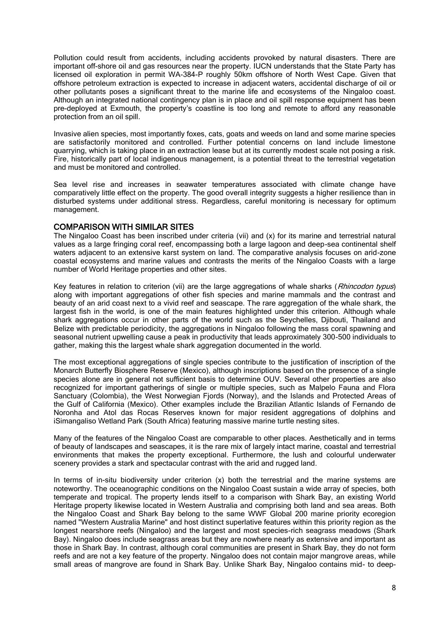Pollution could result from accidents, including accidents provoked by natural disasters. There are important off-shore oil and gas resources near the property. IUCN understands that the State Party has licensed oil exploration in permit WA-384-P roughly 50km offshore of North West Cape. Given that offshore petroleum extraction is expected to increase in adjacent waters, accidental discharge of oil or other pollutants poses a significant threat to the marine life and ecosystems of the Ningaloo coast. Although an integrated national contingency plan is in place and oil spill response equipment has been pre-deployed at Exmouth, the property's coastline is too long and remote to afford any reasonable protection from an oil spill.

Invasive alien species, most importantly foxes, cats, goats and weeds on land and some marine species are satisfactorily monitored and controlled. Further potential concerns on land include limestone quarrying, which is taking place in an extraction lease but at its currently modest scale not posing a risk. Fire, historically part of local indigenous management, is a potential threat to the terrestrial vegetation and must be monitored and controlled.

Sea level rise and increases in seawater temperatures associated with climate change have comparatively little effect on the property. The good overall integrity suggests a higher resilience than in disturbed systems under additional stress. Regardless, careful monitoring is necessary for optimum management.

## COMPARISON WITH SIMILAR SITES

The Ningaloo Coast has been inscribed under criteria (vii) and (x) for its marine and terrestrial natural values as a large fringing coral reef, encompassing both a large lagoon and deep-sea continental shelf waters adjacent to an extensive karst system on land. The comparative analysis focuses on arid-zone coastal ecosystems and marine values and contrasts the merits of the Ningaloo Coasts with a large number of World Heritage properties and other sites.

Key features in relation to criterion (vii) are the large aggregations of whale sharks (Rhincodon typus) along with important aggregations of other fish species and marine mammals and the contrast and beauty of an arid coast next to a vivid reef and seascape. The rare aggregation of the whale shark, the largest fish in the world, is one of the main features highlighted under this criterion. Although whale shark aggregations occur in other parts of the world such as the Seychelles, Djibouti, Thailand and Belize with predictable periodicity, the aggregations in Ningaloo following the mass coral spawning and seasonal nutrient upwelling cause a peak in productivity that leads approximately 300-500 individuals to gather, making this the largest whale shark aggregation documented in the world.

The most exceptional aggregations of single species contribute to the justification of inscription of the Monarch Butterfly Biosphere Reserve (Mexico), although inscriptions based on the presence of a single species alone are in general not sufficient basis to determine OUV. Several other properties are also recognized for important gatherings of single or multiple species, such as Malpelo Fauna and Flora Sanctuary (Colombia), the West Norwegian Fjords (Norway), and the Islands and Protected Areas of the Gulf of California (Mexico). Other examples include the Brazilian Atlantic Islands of Fernando de Noronha and Atol das Rocas Reserves known for major resident aggregations of dolphins and iSimangaliso Wetland Park (South Africa) featuring massive marine turtle nesting sites.

Many of the features of the Ningaloo Coast are comparable to other places. Aesthetically and in terms of beauty of landscapes and seascapes, it is the rare mix of largely intact marine, coastal and terrestrial environments that makes the property exceptional. Furthermore, the lush and colourful underwater scenery provides a stark and spectacular contrast with the arid and rugged land.

In terms of in-situ biodiversity under criterion (x) both the terrestrial and the marine systems are noteworthy. The oceanographic conditions on the Ningaloo Coast sustain a wide array of species, both temperate and tropical. The property lends itself to a comparison with Shark Bay, an existing World Heritage property likewise located in Western Australia and comprising both land and sea areas. Both the Ningaloo Coast and Shark Bay belong to the same WWF Global 200 marine priority ecoregion named "Western Australia Marine" and host distinct superlative features within this priority region as the longest nearshore reefs (Ningaloo) and the largest and most species-rich seagrass meadows (Shark Bay). Ningaloo does include seagrass areas but they are nowhere nearly as extensive and important as those in Shark Bay. In contrast, although coral communities are present in Shark Bay, they do not form reefs and are not a key feature of the property. Ningaloo does not contain major mangrove areas, while small areas of mangrove are found in Shark Bay. Unlike Shark Bay, Ningaloo contains mid- to deep